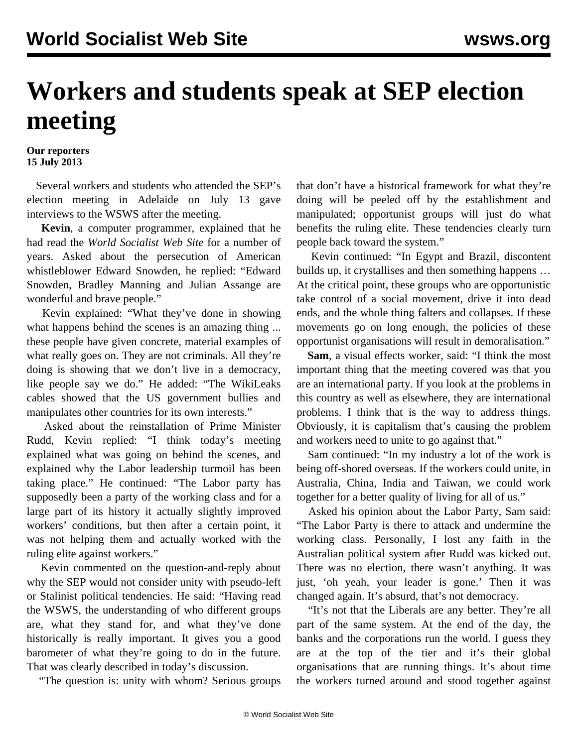## **Workers and students speak at SEP election meeting**

## **Our reporters 15 July 2013**

 Several workers and students who attended the SEP's [election meeting in Adelaide](/en/articles/2013/07/15/meet-j15.html) on July 13 gave interviews to the WSWS after the meeting.

 **Kevin**, a computer programmer, explained that he had read the *World Socialist Web Site* for a number of years. Asked about the persecution of American whistleblower Edward Snowden, he replied: "Edward Snowden, Bradley Manning and Julian Assange are wonderful and brave people."

 Kevin explained: "What they've done in showing what happens behind the scenes is an amazing thing ... these people have given concrete, material examples of what really goes on. They are not criminals. All they're doing is showing that we don't live in a democracy, like people say we do." He added: "The WikiLeaks cables showed that the US government bullies and manipulates other countries for its own interests."

 Asked about the reinstallation of Prime Minister Rudd, Kevin replied: "I think today's meeting explained what was going on behind the scenes, and explained why the Labor leadership turmoil has been taking place." He continued: "The Labor party has supposedly been a party of the working class and for a large part of its history it actually slightly improved workers' conditions, but then after a certain point, it was not helping them and actually worked with the ruling elite against workers."

 Kevin commented on the question-and-reply about why the SEP would not consider unity with pseudo-left or Stalinist political tendencies. He said: "Having read the WSWS, the understanding of who different groups are, what they stand for, and what they've done historically is really important. It gives you a good barometer of what they're going to do in the future. That was clearly described in today's discussion.

"The question is: unity with whom? Serious groups

that don't have a historical framework for what they're doing will be peeled off by the establishment and manipulated; opportunist groups will just do what benefits the ruling elite. These tendencies clearly turn people back toward the system."

 Kevin continued: "In Egypt and Brazil, discontent builds up, it crystallises and then something happens … At the critical point, these groups who are opportunistic take control of a social movement, drive it into dead ends, and the whole thing falters and collapses. If these movements go on long enough, the policies of these opportunist organisations will result in demoralisation."

 **Sam**, a visual effects worker, said: "I think the most important thing that the meeting covered was that you are an international party. If you look at the problems in this country as well as elsewhere, they are international problems. I think that is the way to address things. Obviously, it is capitalism that's causing the problem and workers need to unite to go against that."

 Sam continued: "In my industry a lot of the work is being off-shored overseas. If the workers could unite, in Australia, China, India and Taiwan, we could work together for a better quality of living for all of us."

 Asked his opinion about the Labor Party, Sam said: "The Labor Party is there to attack and undermine the working class. Personally, I lost any faith in the Australian political system after Rudd was kicked out. There was no election, there wasn't anything. It was just, 'oh yeah, your leader is gone.' Then it was changed again. It's absurd, that's not democracy.

 "It's not that the Liberals are any better. They're all part of the same system. At the end of the day, the banks and the corporations run the world. I guess they are at the top of the tier and it's their global organisations that are running things. It's about time the workers turned around and stood together against